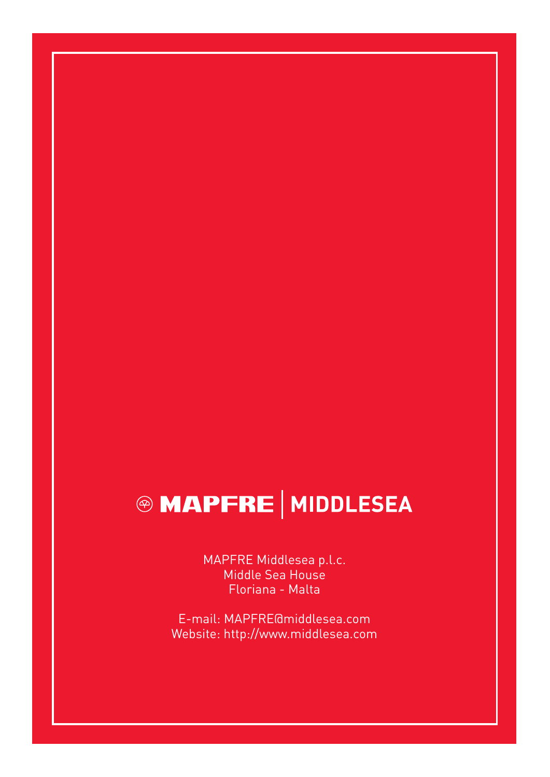# **@ MAPFRE | MIDDLESEA**

MAPFRE Middlesea p.l.c. Middle Sea House Floriana - Malta

E-mail: MAPFRE@middlesea.com Website: http://www.middlesea.com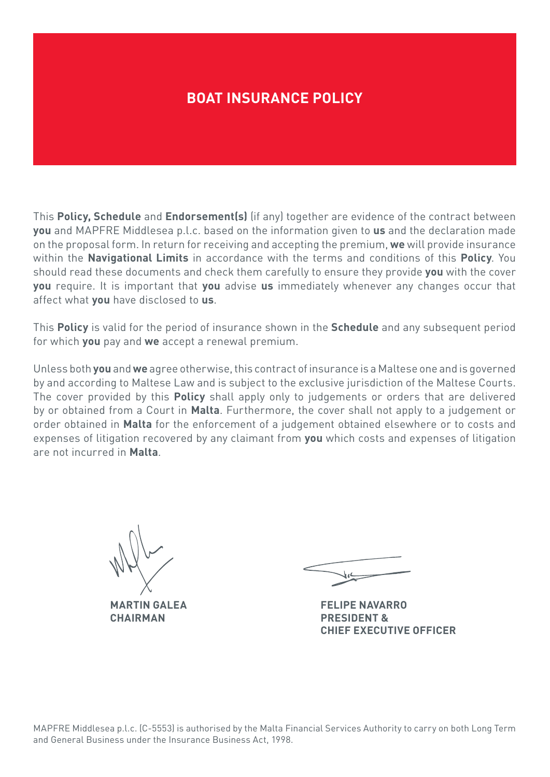## **BOAT INSURANCE POLICY**

This **Policy, Schedule** and **Endorsement(s)** (if any) together are evidence of the contract between **you** and MAPFRE Middlesea p.l.c. based on the information given to **us** and the declaration made on the proposal form. In return for receiving and accepting the premium, **we** will provide insurance within the **Navigational Limits** in accordance with the terms and conditions of this **Policy**. You should read these documents and check them carefully to ensure they provide **you** with the cover **you** require. It is important that **you** advise **us** immediately whenever any changes occur that affect what **you** have disclosed to **us**.

This **Policy** is valid for the period of insurance shown in the **Schedule** and any subsequent period for which **you** pay and **we** accept a renewal premium.

Unless both **you** and **we** agree otherwise, this contract of insurance is a Maltese one and is governed by and according to Maltese Law and is subject to the exclusive jurisdiction of the Maltese Courts. The cover provided by this **Policy** shall apply only to judgements or orders that are delivered by or obtained from a Court in **Malta**. Furthermore, the cover shall not apply to a judgement or order obtained in **Malta** for the enforcement of a judgement obtained elsewhere or to costs and expenses of litigation recovered by any claimant from **you** which costs and expenses of litigation are not incurred in **Malta**.

**MARTIN GALEA**

**CHAIRMAN**

**FELIPE NAVARRO PRESIDENT & CHIEF EXECUTIVE OFFICER**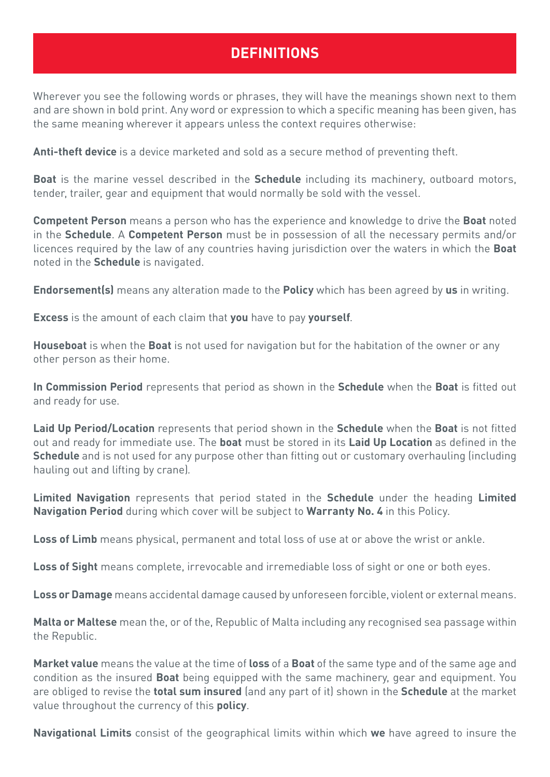# **DEFINITIONS**

Wherever you see the following words or phrases, they will have the meanings shown next to them and are shown in bold print. Any word or expression to which a specific meaning has been given, has the same meaning wherever it appears unless the context requires otherwise:

**Anti-theft device** is a device marketed and sold as a secure method of preventing theft.

**Boat** is the marine vessel described in the **Schedule** including its machinery, outboard motors, tender, trailer, gear and equipment that would normally be sold with the vessel.

**Competent Person** means a person who has the experience and knowledge to drive the **Boat** noted in the **Schedule**. A **Competent Person** must be in possession of all the necessary permits and/or licences required by the law of any countries having jurisdiction over the waters in which the **Boat** noted in the **Schedule** is navigated.

**Endorsement(s)** means any alteration made to the **Policy** which has been agreed by **us** in writing.

**Excess** is the amount of each claim that **you** have to pay **yourself**.

**Houseboat** is when the **Boat** is not used for navigation but for the habitation of the owner or any other person as their home.

**In Commission Period** represents that period as shown in the **Schedule** when the **Boat** is fitted out and ready for use.

**Laid Up Period/Location** represents that period shown in the **Schedule** when the **Boat** is not fitted out and ready for immediate use. The **boat** must be stored in its **Laid Up Location** as defined in the **Schedule** and is not used for any purpose other than fitting out or customary overhauling (including hauling out and lifting by crane)*.*

**Limited Navigation** represents that period stated in the **Schedule** under the heading **Limited Navigation Period** during which cover will be subject to **Warranty No. 4** in this Policy.

**Loss of Limb** means physical, permanent and total loss of use at or above the wrist or ankle.

**Loss of Sight** means complete, irrevocable and irremediable loss of sight or one or both eyes.

**Loss or Damage** means accidental damage caused by unforeseen forcible, violent or external means.

**Malta or Maltese** mean the, or of the, Republic of Malta including any recognised sea passage within the Republic.

**Market value** means the value at the time of **loss** of a **Boat** of the same type and of the same age and condition as the insured **Boat** being equipped with the same machinery, gear and equipment. You are obliged to revise the **total sum insured** (and any part of it) shown in the **Schedule** at the market value throughout the currency of this **policy**.

**Navigational Limits** consist of the geographical limits within which **we** have agreed to insure the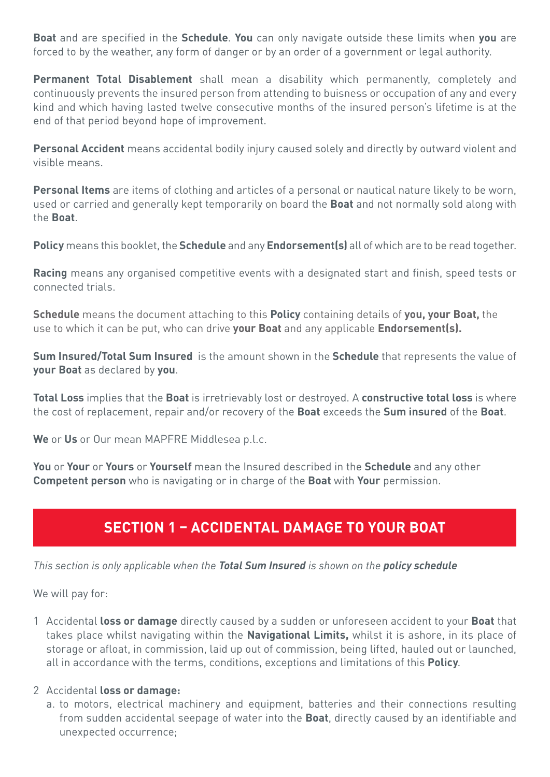**Boat** and are specified in the **Schedule**. **You** can only navigate outside these limits when **you** are forced to by the weather, any form of danger or by an order of a government or legal authority.

**Permanent Total Disablement** shall mean a disability which permanently, completely and continuously prevents the insured person from attending to buisness or occupation of any and every kind and which having lasted twelve consecutive months of the insured person's lifetime is at the end of that period beyond hope of improvement.

**Personal Accident** means accidental bodily injury caused solely and directly by outward violent and visible means.

**Personal Items** are items of clothing and articles of a personal or nautical nature likely to be worn, used or carried and generally kept temporarily on board the **Boat** and not normally sold along with the **Boat**.

**Policy** means this booklet, the **Schedule** and any **Endorsement(s)** all of which are to be read together.

**Racing** means any organised competitive events with a designated start and finish, speed tests or connected trials.

**Schedule** means the document attaching to this **Policy** containing details of **you, your Boat,** the use to which it can be put, who can drive **your Boat** and any applicable **Endorsement(s).**

**Sum Insured/Total Sum Insured** is the amount shown in the **Schedule** that represents the value of **your Boat** as declared by **you**.

**Total Loss** implies that the **Boat** is irretrievably lost or destroyed. A **constructive total loss** is where the cost of replacement, repair and/or recovery of the **Boat** exceeds the **Sum insured** of the **Boat**.

**We** or **Us** or Our mean MAPFRE Middlesea p.l.c.

**You** or **Your** or **Yours** or **Yourself** mean the Insured described in the **Schedule** and any other **Competent person** who is navigating or in charge of the **Boat** with **Your** permission.

# **SECTION 1 – ACCIDENTAL DAMAGE TO YOUR BOAT**

*This section is only applicable when the Total Sum Insured is shown on the policy schedule*

We will pay for:

1 Accidental **loss or damage** directly caused by a sudden or unforeseen accident to your **Boat** that takes place whilst navigating within the **Navigational Limits,** whilst it is ashore, in its place of storage or afloat, in commission, laid up out of commission, being lifted, hauled out or launched, all in accordance with the terms, conditions, exceptions and limitations of this **Policy**.

## 2 Accidental **loss or damage:**

a. to motors, electrical machinery and equipment, batteries and their connections resulting from sudden accidental seepage of water into the **Boat**, directly caused by an identifiable and unexpected occurrence;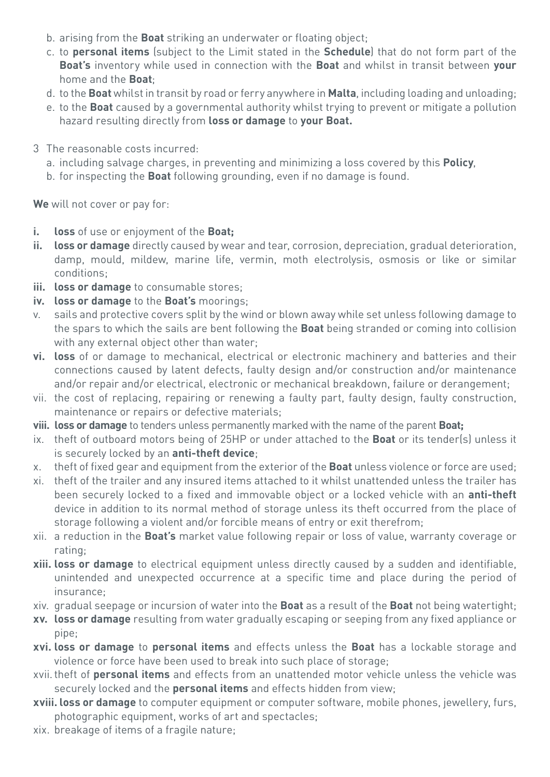- b. arising from the **Boat** striking an underwater or floating object;
- c. to **personal items** (subject to the Limit stated in the **Schedule**) that do not form part of the **Boat's** inventory while used in connection with the **Boat** and whilst in transit between **your** home and the **Boat**;
- d. to the **Boat** whilst in transit by road or ferry anywhere in **Malta**, including loading and unloading;
- e. to the **Boat** caused by a governmental authority whilst trying to prevent or mitigate a pollution hazard resulting directly from **loss or damage** to **your Boat.**
- 3 The reasonable costs incurred:
	- a. including salvage charges, in preventing and minimizing a loss covered by this **Policy**,
	- b. for inspecting the **Boat** following grounding, even if no damage is found.

**We** will not cover or pay for:

- **i. loss** of use or enjoyment of the **Boat;**
- **ii. loss or damage** directly caused by wear and tear, corrosion, depreciation, gradual deterioration, damp, mould, mildew, marine life, vermin, moth electrolysis, osmosis or like or similar conditions;
- **iii. loss or damage** to consumable stores;
- **iv. loss or damage** to the **Boat's** moorings;
- v. sails and protective covers split by the wind or blown away while set unless following damage to the spars to which the sails are bent following the **Boat** being stranded or coming into collision with any external object other than water;
- **vi. loss** of or damage to mechanical, electrical or electronic machinery and batteries and their connections caused by latent defects, faulty design and/or construction and/or maintenance and/or repair and/or electrical, electronic or mechanical breakdown, failure or derangement;
- vii. the cost of replacing, repairing or renewing a faulty part, faulty design, faulty construction, maintenance or repairs or defective materials;
- **viii. loss or damage** to tenders unless permanently marked with the name of the parent **Boat;**
- ix. theft of outboard motors being of 25HP or under attached to the **Boat** or its tender(s) unless it is securely locked by an **anti-theft device**;
- x. theft of fixed gear and equipment from the exterior of the **Boat** unless violence or force are used;
- xi. theft of the trailer and any insured items attached to it whilst unattended unless the trailer has been securely locked to a fixed and immovable object or a locked vehicle with an **anti-theft** device in addition to its normal method of storage unless its theft occurred from the place of storage following a violent and/or forcible means of entry or exit therefrom;
- xii. a reduction in the **Boat's** market value following repair or loss of value, warranty coverage or rating;
- **xiii. loss or damage** to electrical equipment unless directly caused by a sudden and identifiable, unintended and unexpected occurrence at a specific time and place during the period of insurance;
- xiv. gradual seepage or incursion of water into the **Boat** as a result of the **Boat** not being watertight;
- **xv. loss or damage** resulting from water gradually escaping or seeping from any fixed appliance or pipe;
- **xvi. loss or damage** to **personal items** and effects unless the **Boat** has a lockable storage and violence or force have been used to break into such place of storage;
- xvii.theft of **personal items** and effects from an unattended motor vehicle unless the vehicle was securely locked and the **personal items** and effects hidden from view;
- **xviii. loss or damage** to computer equipment or computer software, mobile phones, jewellery, furs, photographic equipment, works of art and spectacles;
- xix. breakage of items of a fragile nature;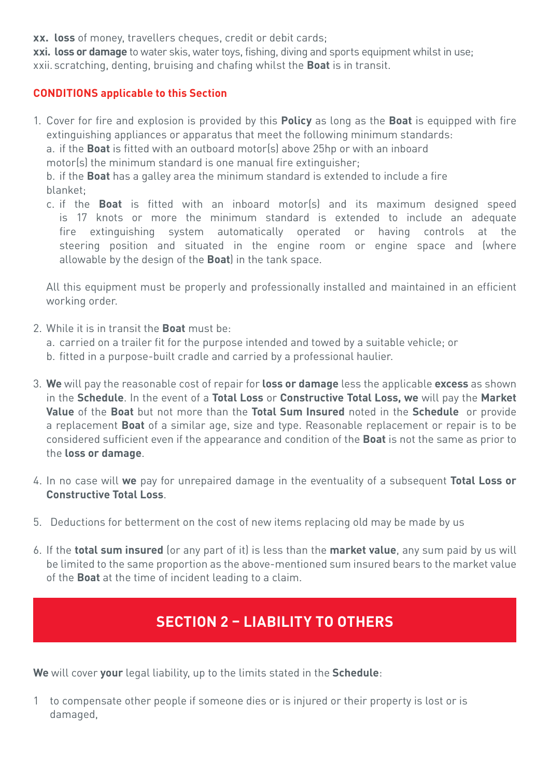**xx. loss** of money, travellers cheques, credit or debit cards;

**xxi. loss or damage** to water skis, water toys, fishing, diving and sports equipment whilst in use; xxii. scratching, denting, bruising and chafing whilst the **Boat** is in transit.

## **CONDITIONS applicable to this Section**

1. Cover for fire and explosion is provided by this **Policy** as long as the **Boat** is equipped with fire extinguishing appliances or apparatus that meet the following minimum standards:

a. if the **Boat** is fitted with an outboard motor(s) above 25hp or with an inboard

motor(s) the minimum standard is one manual fire extinguisher;

b. if the **Boat** has a galley area the minimum standard is extended to include a fire blanket;

c. if the **Boat** is fitted with an inboard motor(s) and its maximum designed speed is 17 knots or more the minimum standard is extended to include an adequate fire extinguishing system automatically operated or having controls at the steering position and situated in the engine room or engine space and (where allowable by the design of the **Boat**) in the tank space.

All this equipment must be properly and professionally installed and maintained in an efficient working order.

- 2. While it is in transit the **Boat** must be:
	- a. carried on a trailer fit for the purpose intended and towed by a suitable vehicle; or
	- b. fitted in a purpose-built cradle and carried by a professional haulier.
- 3. **We** will pay the reasonable cost of repair for **loss or damage** less the applicable **excess** as shown in the **Schedule**. In the event of a **Total Loss** or **Constructive Total Loss, we** will pay the **Market Value** of the **Boat** but not more than the **Total Sum Insured** noted in the **Schedule** or provide a replacement **Boat** of a similar age, size and type. Reasonable replacement or repair is to be considered sufficient even if the appearance and condition of the **Boat** is not the same as prior to the **loss or damage**.
- 4. In no case will **we** pay for unrepaired damage in the eventuality of a subsequent **Total Loss or Constructive Total Loss**.
- 5. Deductions for betterment on the cost of new items replacing old may be made by us
- 6. If the **total sum insured** (or any part of it) is less than the **market value**, any sum paid by us will be limited to the same proportion as the above-mentioned sum insured bears to the market value of the **Boat** at the time of incident leading to a claim.

# **SECTION 2 – LIABILITY TO OTHERS**

**We** will cover **your** legal liability, up to the limits stated in the **Schedule**:

1 to compensate other people if someone dies or is injured or their property is lost or is damaged,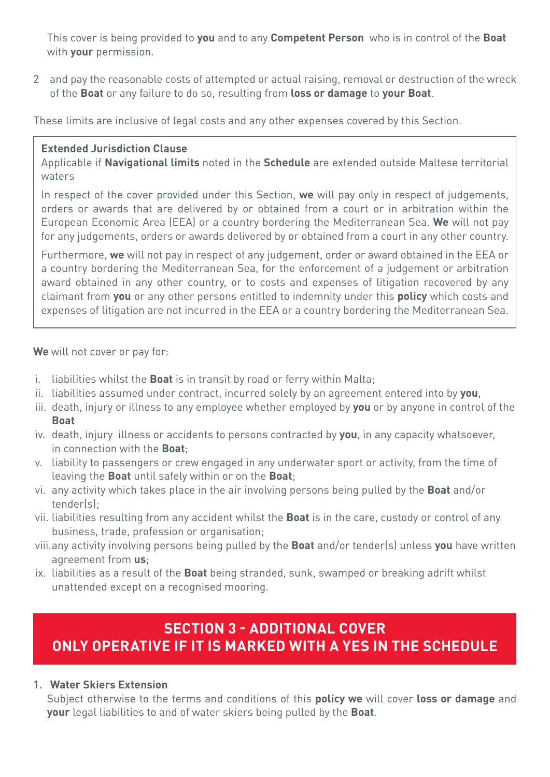This cover is being provided to **you** and to any **Competent Person** who is in control of the **Boat** with **your** permission.

2 and pay the reasonable costs of attempted or actual raising, removal or destruction of the wreck of the **Boat** or any failure to do so, resulting from **loss or damage** to **your Boat**.

These limits are inclusive of legal costs and any other expenses covered by this Section.

## **Extended Jurisdiction Clause**

Applicable if **Navigational limits** noted in the **Schedule** are extended outside Maltese territorial waters

In respect of the cover provided under this Section, **we** will pay only in respect of judgements, orders or awards that are delivered by or obtained from a court or in arbitration within the European Economic Area (EEA) or a country bordering the Mediterranean Sea. **We** will not pay for any judgements, orders or awards delivered by or obtained from a court in any other country.

Furthermore, **we** will not pay in respect of any judgement, order or award obtained in the EEA or a country bordering the Mediterranean Sea, for the enforcement of a judgement or arbitration award obtained in any other country, or to costs and expenses of litigation recovered by any claimant from **you** or any other persons entitled to indemnity under this **policy** which costs and expenses of litigation are not incurred in the EEA or a country bordering the Mediterranean Sea.

**We** will not cover or pay for:

- i. liabilities whilst the **Boat** is in transit by road or ferry within Malta;
- ii. liabilities assumed under contract, incurred solely by an agreement entered into by **you**,
- iii. death, injury or illness to any employee whether employed by **you** or by anyone in control of the **Boat**
- iv. death, injury illness or accidents to persons contracted by **you**, in any capacity whatsoever, in connection with the **Boat**;
- v. liability to passengers or crew engaged in any underwater sport or activity, from the time of leaving the **Boat** until safely within or on the **Boat**;
- vi. any activity which takes place in the air involving persons being pulled by the **Boat** and/or tender(s);
- vii. liabilities resulting from any accident whilst the **Boat** is in the care, custody or control of any business, trade, profession or organisation;
- viii.any activity involving persons being pulled by the **Boat** and/or tender(s) unless **you** have written agreement from **us**;
- ix. liabilities as a result of the **Boat** being stranded, sunk, swamped or breaking adrift whilst unattended except on a recognised mooring.

# **SECTION 3 - ADDITIONAL COVER ONLY OPERATIVE IF IT IS MARKED WITH A YES IN THE SCHEDULE**

## 1. **Water Skiers Extension**

Subject otherwise to the terms and conditions of this **policy we** will cover **loss or damage** and **your** legal liabilities to and of water skiers being pulled by the **Boat**.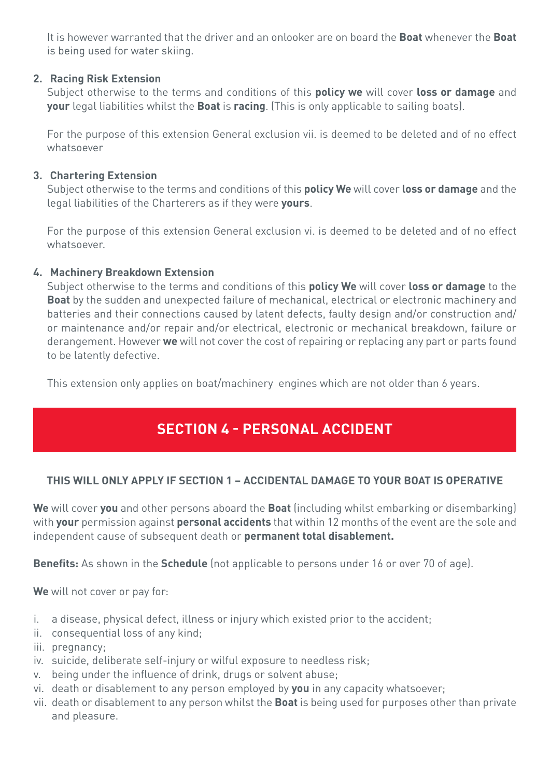It is however warranted that the driver and an onlooker are on board the **Boat** whenever the **Boat** is being used for water skiing.

## **2. Racing Risk Extension**

Subject otherwise to the terms and conditions of this **policy we** will cover **loss or damage** and **your** legal liabilities whilst the **Boat** is **racing**. (This is only applicable to sailing boats).

For the purpose of this extension General exclusion vii. is deemed to be deleted and of no effect whatsoever

## **3. Chartering Extension**

Subject otherwise to the terms and conditions of this **policy We** will cover **loss or damage** and the legal liabilities of the Charterers as if they were **yours**.

For the purpose of this extension General exclusion vi. is deemed to be deleted and of no effect whatsoever.

## **4. Machinery Breakdown Extension**

Subject otherwise to the terms and conditions of this **policy We** will cover **loss or damage** to the **Boat** by the sudden and unexpected failure of mechanical, electrical or electronic machinery and batteries and their connections caused by latent defects, faulty design and/or construction and/ or maintenance and/or repair and/or electrical, electronic or mechanical breakdown, failure or derangement. However **we** will not cover the cost of repairing or replacing any part or parts found to be latently defective.

This extension only applies on boat/machinery engines which are not older than 6 years.

# **SECTION 4 - PERSONAL ACCIDENT**

## **THIS WILL ONLY APPLY IF SECTION 1 – ACCIDENTAL DAMAGE TO YOUR BOAT IS OPERATIVE**

**We** will cover **you** and other persons aboard the **Boat** (including whilst embarking or disembarking) with **your** permission against **personal accidents** that within 12 months of the event are the sole and independent cause of subsequent death or **permanent total disablement.**

**Benefits:** As shown in the **Schedule** (not applicable to persons under 16 or over 70 of age).

**We** will not cover or pay for:

- i. a disease, physical defect, illness or injury which existed prior to the accident;
- ii. consequential loss of any kind;
- iii. pregnancy;
- iv. suicide, deliberate self-injury or wilful exposure to needless risk;
- v. being under the influence of drink, drugs or solvent abuse;
- vi. death or disablement to any person employed by **you** in any capacity whatsoever;
- vii. death or disablement to any person whilst the **Boat** is being used for purposes other than private and pleasure.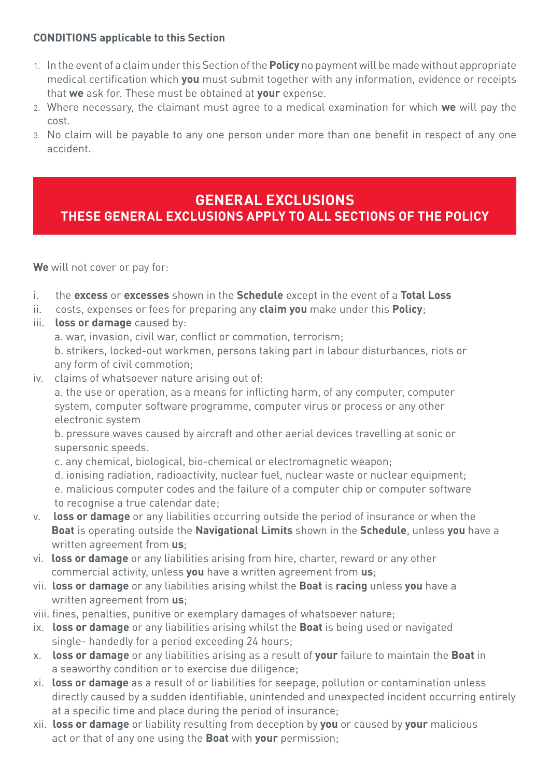## **CONDITIONS applicable to this Section**

- 1. In the event of a claim under this Section of the **Policy** no payment will be made without appropriate medical certification which **you** must submit together with any information, evidence or receipts that **we** ask for. These must be obtained at **your** expense.
- 2. Where necessary, the claimant must agree to a medical examination for which **we** will pay the cost.
- 3. No claim will be payable to any one person under more than one benefit in respect of any one accident.

## **GENERAL EXCLUSIONS THESE GENERAL EXCLUSIONS APPLY TO ALL SECTIONS OF THE POLICY**

**We** will not cover or pay for:

- i. the **excess** or **excesses** shown in the **Schedule** except in the event of a **Total Loss**
- ii. costs, expenses or fees for preparing any **claim you** make under this **Policy**;
- iii. **loss or damage** caused by:

a. war, invasion, civil war, conflict or commotion, terrorism;

 b. strikers, locked-out workmen, persons taking part in labour disturbances, riots or any form of civil commotion;

iv. claims of whatsoever nature arising out of:

 a. the use or operation, as a means for inflicting harm, of any computer, computer system, computer software programme, computer virus or process or any other electronic system

 b. pressure waves caused by aircraft and other aerial devices travelling at sonic or supersonic speeds.

- c. any chemical, biological, bio-chemical or electromagnetic weapon;
- d. ionising radiation, radioactivity, nuclear fuel, nuclear waste or nuclear equipment;
- e. malicious computer codes and the failure of a computer chip or computer software to recognise a true calendar date;
- v. **loss or damage** or any liabilities occurring outside the period of insurance or when the  **Boat** is operating outside the **Navigational Limits** shown in the **Schedule**, unless **you** have a written agreement from **us**;
- vi. **loss or damage** or any liabilities arising from hire, charter, reward or any other commercial activity, unless **you** have a written agreement from **us**;
- vii. **loss or damage** or any liabilities arising whilst the **Boat** is **racing** unless **you** have a written agreement from **us**;
- viii. fines, penalties, punitive or exemplary damages of whatsoever nature;
- ix. **loss or damage** or any liabilities arising whilst the **Boat** is being used or navigated single- handedly for a period exceeding 24 hours;
- x. **loss or damage** or any liabilities arising as a result of **your** failure to maintain the **Boat** in a seaworthy condition or to exercise due diligence;
- xi. **loss or damage** as a result of or liabilities for seepage, pollution or contamination unless directly caused by a sudden identifiable, unintended and unexpected incident occurring entirely at a specific time and place during the period of insurance;
- xii. **loss or damage** or liability resulting from deception by **you** or caused by **your** malicious act or that of any one using the **Boat** with **your** permission;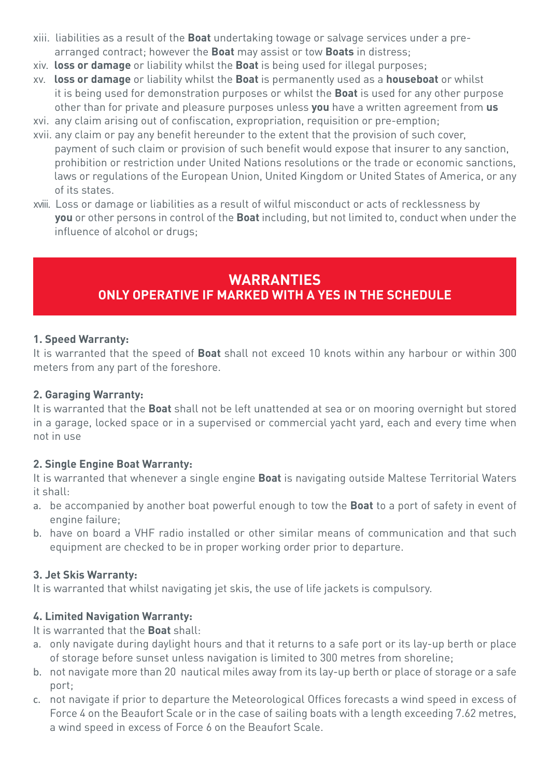- xiii. liabilities as a result of the **Boat** undertaking towage or salvage services under a pre arranged contract; however the **Boat** may assist or tow **Boats** in distress;
- xiv. **loss or damage** or liability whilst the **Boat** is being used for illegal purposes;
- xv. **loss or damage** or liability whilst the **Boat** is permanently used as a **houseboat** or whilst it is being used for demonstration purposes or whilst the **Boat** is used for any other purpose other than for private and pleasure purposes unless **you** have a written agreement from **us** xvi. any claim arising out of confiscation, expropriation, requisition or pre-emption;
- xvii. any claim or pay any benefit hereunder to the extent that the provision of such cover,
- payment of such claim or provision of such benefit would expose that insurer to any sanction, prohibition or restriction under United Nations resolutions or the trade or economic sanctions, laws or regulations of the European Union, United Kingdom or United States of America, or any of its states.
- xviii. Loss or damage or liabilities as a result of wilful misconduct or acts of recklessness by  **you** or other persons in control of the **Boat** including, but not limited to, conduct when under the influence of alcohol or drugs;

## **WARRANTIES ONLY OPERATIVE IF MARKED WITH A YES IN THE SCHEDULE**

## **1. Speed Warranty:**

It is warranted that the speed of **Boat** shall not exceed 10 knots within any harbour or within 300 meters from any part of the foreshore.

## **2. Garaging Warranty:**

It is warranted that the **Boat** shall not be left unattended at sea or on mooring overnight but stored in a garage, locked space or in a supervised or commercial yacht yard, each and every time when not in use

## **2. Single Engine Boat Warranty:**

It is warranted that whenever a single engine **Boat** is navigating outside Maltese Territorial Waters it shall:

- a. be accompanied by another boat powerful enough to tow the **Boat** to a port of safety in event of engine failure;
- b. have on board a VHF radio installed or other similar means of communication and that such equipment are checked to be in proper working order prior to departure.

## **3. Jet Skis Warranty:**

It is warranted that whilst navigating jet skis, the use of life jackets is compulsory.

## **4. Limited Navigation Warranty:**

It is warranted that the **Boat** shall:

- a. only navigate during daylight hours and that it returns to a safe port or its lay-up berth or place of storage before sunset unless navigation is limited to 300 metres from shoreline;
- b. not navigate more than 20 nautical miles away from its lay-up berth or place of storage or a safe port;
- c. not navigate if prior to departure the Meteorological Offices forecasts a wind speed in excess of Force 4 on the Beaufort Scale or in the case of sailing boats with a length exceeding 7.62 metres, a wind speed in excess of Force 6 on the Beaufort Scale.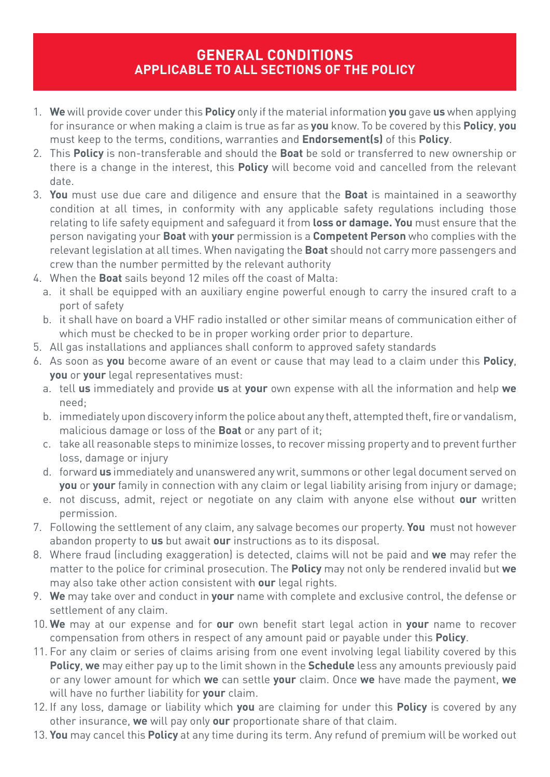## **GENERAL CONDITIONS APPLICABLE TO ALL SECTIONS OF THE POLICY**

- 1. **We** will provide cover under this **Policy** only if the material information **you** gave **us** when applying for insurance or when making a claim is true as far as **you** know. To be covered by this **Policy**, **you** must keep to the terms, conditions, warranties and **Endorsement(s)** of this **Policy**.
- 2. This **Policy** is non-transferable and should the **Boat** be sold or transferred to new ownership or there is a change in the interest, this **Policy** will become void and cancelled from the relevant date.
- 3. **You** must use due care and diligence and ensure that the **Boat** is maintained in a seaworthy condition at all times, in conformity with any applicable safety regulations including those relating to life safety equipment and safeguard it from **loss or damage. You** must ensure that the person navigating your **Boat** with **your** permission is a **Competent Person** who complies with the relevant legislation at all times. When navigating the **Boat** should not carry more passengers and crew than the number permitted by the relevant authority
- 4. When the **Boat** sails beyond 12 miles off the coast of Malta:
	- a. it shall be equipped with an auxiliary engine powerful enough to carry the insured craft to a port of safety
	- b. it shall have on board a VHF radio installed or other similar means of communication either of which must be checked to be in proper working order prior to departure.
- 5. All gas installations and appliances shall conform to approved safety standards
- 6. As soon as **you** become aware of an event or cause that may lead to a claim under this **Policy**, **you** or **your** legal representatives must:
	- a. tell **us** immediately and provide **us** at **your** own expense with all the information and help **we** need;
	- b. immediately upon discovery inform the police about any theft, attempted theft, fire or vandalism, malicious damage or loss of the **Boat** or any part of it;
	- c. take all reasonable steps to minimize losses, to recover missing property and to prevent further loss, damage or injury
	- d. forward **us** immediately and unanswered any writ, summons or other legal document served on **you** or **your** family in connection with any claim or legal liability arising from injury or damage;
	- e. not discuss, admit, reject or negotiate on any claim with anyone else without **our** written permission.
- 7. Following the settlement of any claim, any salvage becomes our property. **You** must not however abandon property to **us** but await **our** instructions as to its disposal.
- 8. Where fraud (including exaggeration) is detected, claims will not be paid and **we** may refer the matter to the police for criminal prosecution. The **Policy** may not only be rendered invalid but **we** may also take other action consistent with **our** legal rights.
- 9. **We** may take over and conduct in **your** name with complete and exclusive control, the defense or settlement of any claim.
- 10. **We** may at our expense and for **our** own benefit start legal action in **your** name to recover compensation from others in respect of any amount paid or payable under this **Policy**.
- 11. For any claim or series of claims arising from one event involving legal liability covered by this **Policy**, **we** may either pay up to the limit shown in the **Schedule** less any amounts previously paid or any lower amount for which **we** can settle **your** claim. Once **we** have made the payment, **we** will have no further liability for **your** claim.
- 12. If any loss, damage or liability which **you** are claiming for under this **Policy** is covered by any other insurance, **we** will pay only **our** proportionate share of that claim.
- 13. **You** may cancel this **Policy** at any time during its term. Any refund of premium will be worked out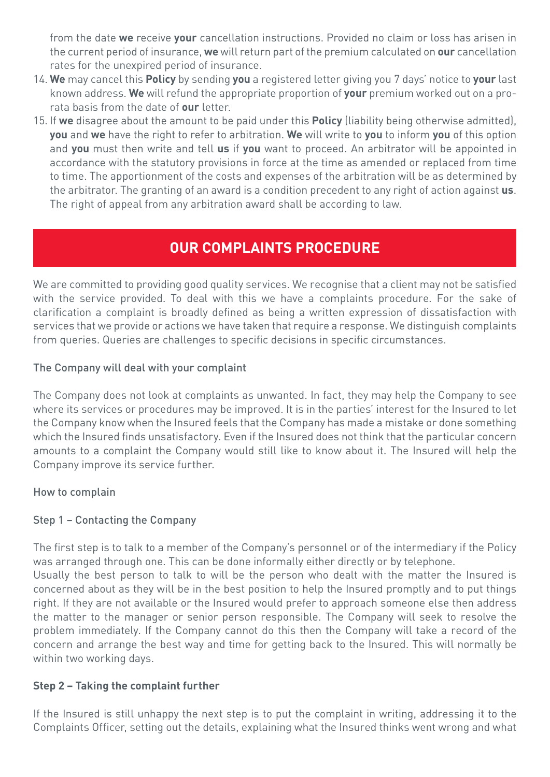from the date **we** receive **your** cancellation instructions. Provided no claim or loss has arisen in the current period of insurance, **we** will return part of the premium calculated on **our** cancellation rates for the unexpired period of insurance.

- 14. **We** may cancel this **Policy** by sending **you** a registered letter giving you 7 days' notice to **your** last known address. **We** will refund the appropriate proportion of **your** premium worked out on a prorata basis from the date of **our** letter.
- 15. If **we** disagree about the amount to be paid under this **Policy** (liability being otherwise admitted), **you** and **we** have the right to refer to arbitration. **We** will write to **you** to inform **you** of this option and **you** must then write and tell **us** if **you** want to proceed. An arbitrator will be appointed in accordance with the statutory provisions in force at the time as amended or replaced from time to time. The apportionment of the costs and expenses of the arbitration will be as determined by the arbitrator. The granting of an award is a condition precedent to any right of action against **us**. The right of appeal from any arbitration award shall be according to law.

# **OUR COMPLAINTS PROCEDURE**

We are committed to providing good quality services. We recognise that a client may not be satisfied with the service provided. To deal with this we have a complaints procedure. For the sake of clarification a complaint is broadly defined as being a written expression of dissatisfaction with services that we provide or actions we have taken that require a response. We distinguish complaints from queries. Queries are challenges to specific decisions in specific circumstances.

## The Company will deal with your complaint

The Company does not look at complaints as unwanted. In fact, they may help the Company to see where its services or procedures may be improved. It is in the parties' interest for the Insured to let the Company know when the Insured feels that the Company has made a mistake or done something which the Insured finds unsatisfactory. Even if the Insured does not think that the particular concern amounts to a complaint the Company would still like to know about it. The Insured will help the Company improve its service further.

## How to complain

## Step 1 – Contacting the Company

The first step is to talk to a member of the Company's personnel or of the intermediary if the Policy was arranged through one. This can be done informally either directly or by telephone. Usually the best person to talk to will be the person who dealt with the matter the Insured is concerned about as they will be in the best position to help the Insured promptly and to put things right. If they are not available or the Insured would prefer to approach someone else then address the matter to the manager or senior person responsible. The Company will seek to resolve the problem immediately. If the Company cannot do this then the Company will take a record of the concern and arrange the best way and time for getting back to the Insured. This will normally be within two working days.

## **Step 2 – Taking the complaint further**

If the Insured is still unhappy the next step is to put the complaint in writing, addressing it to the Complaints Officer, setting out the details, explaining what the Insured thinks went wrong and what